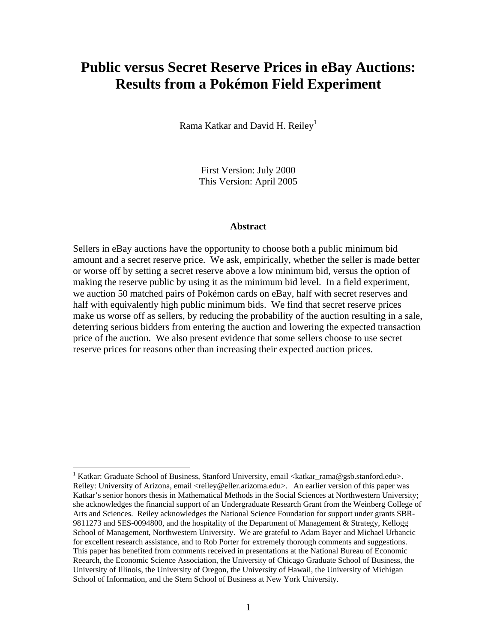# **Public versus Secret Reserve Prices in eBay Auctions: Results from a Pokémon Field Experiment**

Rama Katkar and David H. Reiley<sup>1</sup>

First Version: July 2000 This Version: April 2005

#### **Abstract**

Sellers in eBay auctions have the opportunity to choose both a public minimum bid amount and a secret reserve price. We ask, empirically, whether the seller is made better or worse off by setting a secret reserve above a low minimum bid, versus the option of making the reserve public by using it as the minimum bid level. In a field experiment, we auction 50 matched pairs of Pokémon cards on eBay, half with secret reserves and half with equivalently high public minimum bids. We find that secret reserve prices make us worse off as sellers, by reducing the probability of the auction resulting in a sale, deterring serious bidders from entering the auction and lowering the expected transaction price of the auction. We also present evidence that some sellers choose to use secret reserve prices for reasons other than increasing their expected auction prices.

<sup>&</sup>lt;sup>1</sup> Katkar: Graduate School of Business, Stanford University, email <katkar\_rama@gsb.stanford.edu>. Reiley: University of Arizona, email <reiley@eller.arizoma.edu>. An earlier version of this paper was Katkar's senior honors thesis in Mathematical Methods in the Social Sciences at Northwestern University; she acknowledges the financial support of an Undergraduate Research Grant from the Weinberg College of Arts and Sciences. Reiley acknowledges the National Science Foundation for support under grants SBR-9811273 and SES-0094800, and the hospitality of the Department of Management & Strategy, Kellogg School of Management, Northwestern University. We are grateful to Adam Bayer and Michael Urbancic for excellent research assistance, and to Rob Porter for extremely thorough comments and suggestions. This paper has benefited from comments received in presentations at the National Bureau of Economic Reearch, the Economic Science Association, the University of Chicago Graduate School of Business, the University of Illinois, the University of Oregon, the University of Hawaii, the University of Michigan School of Information, and the Stern School of Business at New York University.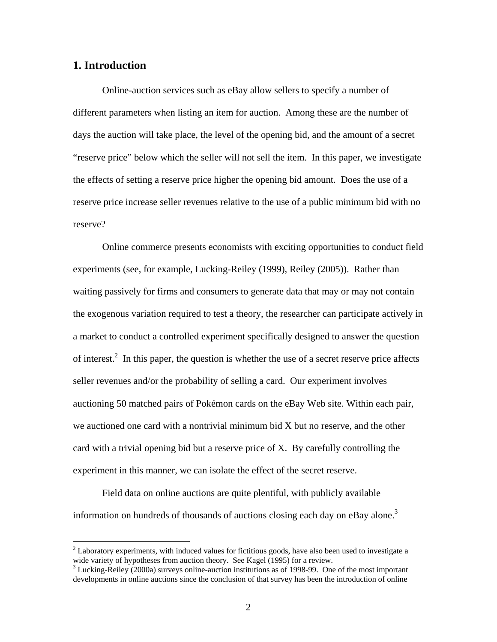### **1. Introduction**

<u>.</u>

Online-auction services such as eBay allow sellers to specify a number of different parameters when listing an item for auction. Among these are the number of days the auction will take place, the level of the opening bid, and the amount of a secret "reserve price" below which the seller will not sell the item. In this paper, we investigate the effects of setting a reserve price higher the opening bid amount. Does the use of a reserve price increase seller revenues relative to the use of a public minimum bid with no reserve?

Online commerce presents economists with exciting opportunities to conduct field experiments (see, for example, Lucking-Reiley (1999), Reiley (2005)). Rather than waiting passively for firms and consumers to generate data that may or may not contain the exogenous variation required to test a theory, the researcher can participate actively in a market to conduct a controlled experiment specifically designed to answer the question of interest.<sup>2</sup> In this paper, the question is whether the use of a secret reserve price affects seller revenues and/or the probability of selling a card. Our experiment involves auctioning 50 matched pairs of Pokémon cards on the eBay Web site. Within each pair, we auctioned one card with a nontrivial minimum bid X but no reserve, and the other card with a trivial opening bid but a reserve price of X. By carefully controlling the experiment in this manner, we can isolate the effect of the secret reserve.

Field data on online auctions are quite plentiful, with publicly available information on hundreds of thousands of auctions closing each day on eBay alone.<sup>3</sup>

 $2<sup>2</sup>$  Laboratory experiments, with induced values for fictitious goods, have also been used to investigate a wide variety of hypotheses from auction theory. See Kagel (1995) for a review.

<sup>&</sup>lt;sup>3</sup> Lucking-Reiley (2000a) surveys online-auction institutions as of 1998-99. One of the most important developments in online auctions since the conclusion of that survey has been the introduction of online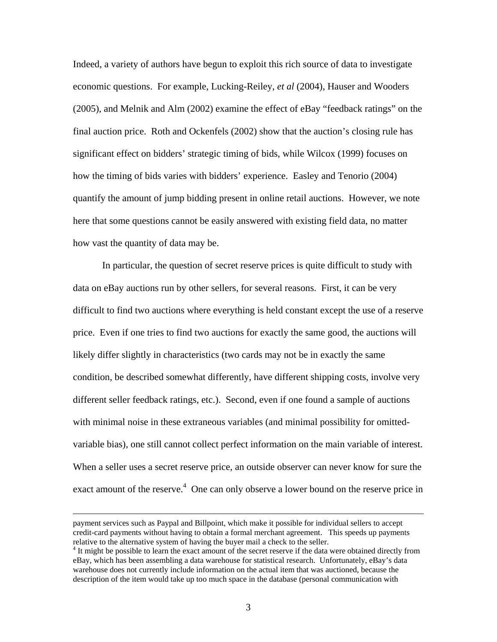Indeed, a variety of authors have begun to exploit this rich source of data to investigate economic questions. For example, Lucking-Reiley, *et al* (2004), Hauser and Wooders (2005), and Melnik and Alm (2002) examine the effect of eBay "feedback ratings" on the final auction price. Roth and Ockenfels (2002) show that the auction's closing rule has significant effect on bidders' strategic timing of bids, while Wilcox (1999) focuses on how the timing of bids varies with bidders' experience. Easley and Tenorio (2004) quantify the amount of jump bidding present in online retail auctions. However, we note here that some questions cannot be easily answered with existing field data, no matter how vast the quantity of data may be.

In particular, the question of secret reserve prices is quite difficult to study with data on eBay auctions run by other sellers, for several reasons. First, it can be very difficult to find two auctions where everything is held constant except the use of a reserve price. Even if one tries to find two auctions for exactly the same good, the auctions will likely differ slightly in characteristics (two cards may not be in exactly the same condition, be described somewhat differently, have different shipping costs, involve very different seller feedback ratings, etc.). Second, even if one found a sample of auctions with minimal noise in these extraneous variables (and minimal possibility for omittedvariable bias), one still cannot collect perfect information on the main variable of interest. When a seller uses a secret reserve price, an outside observer can never know for sure the exact amount of the reserve.<sup>4</sup> One can only observe a lower bound on the reserve price in

payment services such as Paypal and Billpoint, which make it possible for individual sellers to accept credit-card payments without having to obtain a formal merchant agreement. This speeds up payments relative to the alternative system of having the buyer mail a check to the seller.

<sup>&</sup>lt;sup>4</sup> It might be possible to learn the exact amount of the secret reserve if the data were obtained directly from eBay, which has been assembling a data warehouse for statistical research. Unfortunately, eBay's data warehouse does not currently include information on the actual item that was auctioned, because the description of the item would take up too much space in the database (personal communication with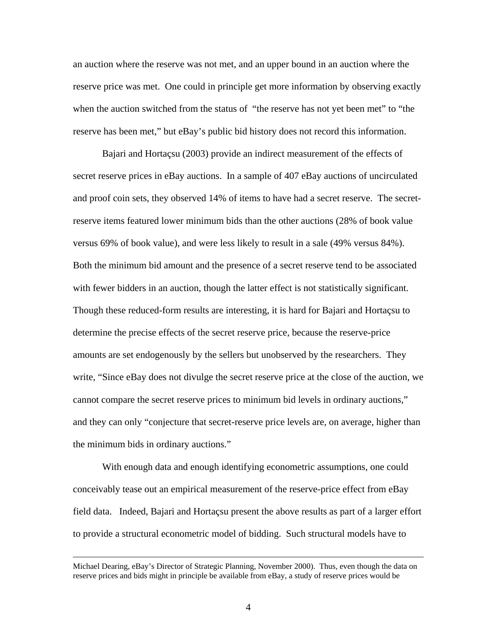an auction where the reserve was not met, and an upper bound in an auction where the reserve price was met. One could in principle get more information by observing exactly when the auction switched from the status of "the reserve has not yet been met" to "the reserve has been met," but eBay's public bid history does not record this information.

Bajari and Hortaçsu (2003) provide an indirect measurement of the effects of secret reserve prices in eBay auctions. In a sample of 407 eBay auctions of uncirculated and proof coin sets, they observed 14% of items to have had a secret reserve. The secretreserve items featured lower minimum bids than the other auctions (28% of book value versus 69% of book value), and were less likely to result in a sale (49% versus 84%). Both the minimum bid amount and the presence of a secret reserve tend to be associated with fewer bidders in an auction, though the latter effect is not statistically significant. Though these reduced-form results are interesting, it is hard for Bajari and Hortaçsu to determine the precise effects of the secret reserve price, because the reserve-price amounts are set endogenously by the sellers but unobserved by the researchers. They write, "Since eBay does not divulge the secret reserve price at the close of the auction, we cannot compare the secret reserve prices to minimum bid levels in ordinary auctions," and they can only "conjecture that secret-reserve price levels are, on average, higher than the minimum bids in ordinary auctions."

With enough data and enough identifying econometric assumptions, one could conceivably tease out an empirical measurement of the reserve-price effect from eBay field data. Indeed, Bajari and Hortaçsu present the above results as part of a larger effort to provide a structural econometric model of bidding. Such structural models have to

Michael Dearing, eBay's Director of Strategic Planning, November 2000). Thus, even though the data on reserve prices and bids might in principle be available from eBay, a study of reserve prices would be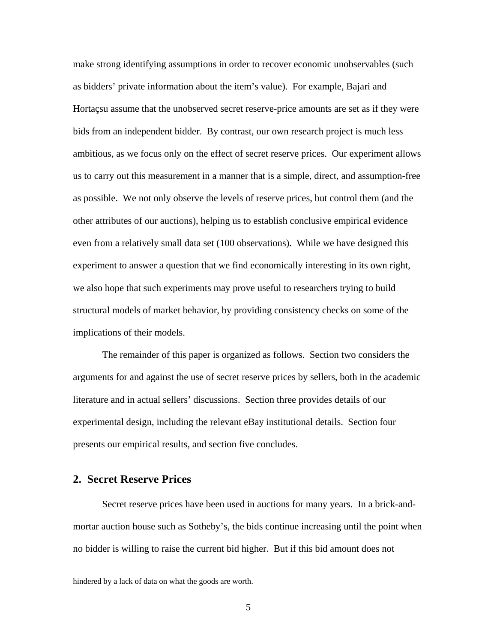make strong identifying assumptions in order to recover economic unobservables (such as bidders' private information about the item's value). For example, Bajari and Hortaçsu assume that the unobserved secret reserve-price amounts are set as if they were bids from an independent bidder. By contrast, our own research project is much less ambitious, as we focus only on the effect of secret reserve prices. Our experiment allows us to carry out this measurement in a manner that is a simple, direct, and assumption-free as possible. We not only observe the levels of reserve prices, but control them (and the other attributes of our auctions), helping us to establish conclusive empirical evidence even from a relatively small data set (100 observations). While we have designed this experiment to answer a question that we find economically interesting in its own right, we also hope that such experiments may prove useful to researchers trying to build structural models of market behavior, by providing consistency checks on some of the implications of their models.

The remainder of this paper is organized as follows. Section two considers the arguments for and against the use of secret reserve prices by sellers, both in the academic literature and in actual sellers' discussions. Section three provides details of our experimental design, including the relevant eBay institutional details. Section four presents our empirical results, and section five concludes.

### **2. Secret Reserve Prices**

Secret reserve prices have been used in auctions for many years. In a brick-andmortar auction house such as Sotheby's, the bids continue increasing until the point when no bidder is willing to raise the current bid higher. But if this bid amount does not

hindered by a lack of data on what the goods are worth.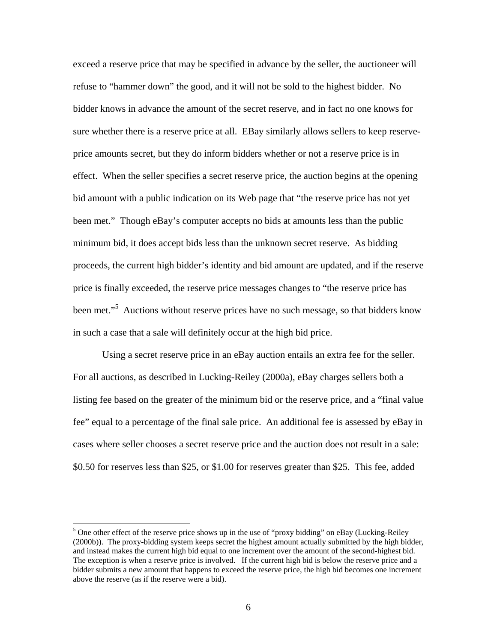exceed a reserve price that may be specified in advance by the seller, the auctioneer will refuse to "hammer down" the good, and it will not be sold to the highest bidder. No bidder knows in advance the amount of the secret reserve, and in fact no one knows for sure whether there is a reserve price at all. EBay similarly allows sellers to keep reserveprice amounts secret, but they do inform bidders whether or not a reserve price is in effect. When the seller specifies a secret reserve price, the auction begins at the opening bid amount with a public indication on its Web page that "the reserve price has not yet been met." Though eBay's computer accepts no bids at amounts less than the public minimum bid, it does accept bids less than the unknown secret reserve. As bidding proceeds, the current high bidder's identity and bid amount are updated, and if the reserve price is finally exceeded, the reserve price messages changes to "the reserve price has been met."<sup>5</sup> Auctions without reserve prices have no such message, so that bidders know in such a case that a sale will definitely occur at the high bid price.

Using a secret reserve price in an eBay auction entails an extra fee for the seller. For all auctions, as described in Lucking-Reiley (2000a), eBay charges sellers both a listing fee based on the greater of the minimum bid or the reserve price, and a "final value fee" equal to a percentage of the final sale price. An additional fee is assessed by eBay in cases where seller chooses a secret reserve price and the auction does not result in a sale: \$0.50 for reserves less than \$25, or \$1.00 for reserves greater than \$25. This fee, added

 $\overline{a}$ 

<sup>&</sup>lt;sup>5</sup> One other effect of the reserve price shows up in the use of "proxy bidding" on eBay (Lucking-Reiley (2000b)). The proxy-bidding system keeps secret the highest amount actually submitted by the high bidder, and instead makes the current high bid equal to one increment over the amount of the second-highest bid. The exception is when a reserve price is involved. If the current high bid is below the reserve price and a bidder submits a new amount that happens to exceed the reserve price, the high bid becomes one increment above the reserve (as if the reserve were a bid).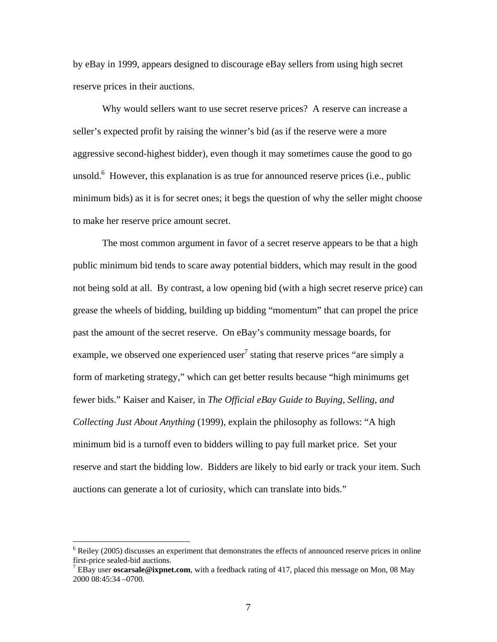by eBay in 1999, appears designed to discourage eBay sellers from using high secret reserve prices in their auctions.

Why would sellers want to use secret reserve prices? A reserve can increase a seller's expected profit by raising the winner's bid (as if the reserve were a more aggressive second-highest bidder), even though it may sometimes cause the good to go unsold. $<sup>6</sup>$  However, this explanation is as true for announced reserve prices (i.e., public</sup> minimum bids) as it is for secret ones; it begs the question of why the seller might choose to make her reserve price amount secret.

The most common argument in favor of a secret reserve appears to be that a high public minimum bid tends to scare away potential bidders, which may result in the good not being sold at all. By contrast, a low opening bid (with a high secret reserve price) can grease the wheels of bidding, building up bidding "momentum" that can propel the price past the amount of the secret reserve. On eBay's community message boards, for example, we observed one experienced user<sup>7</sup> stating that reserve prices "are simply a form of marketing strategy," which can get better results because "high minimums get fewer bids." Kaiser and Kaiser, in *The Official eBay Guide to Buying, Selling, and Collecting Just About Anything* (1999), explain the philosophy as follows: "A high minimum bid is a turnoff even to bidders willing to pay full market price. Set your reserve and start the bidding low. Bidders are likely to bid early or track your item. Such auctions can generate a lot of curiosity, which can translate into bids."

<u>.</u>

 $6$  Reiley (2005) discusses an experiment that demonstrates the effects of announced reserve prices in online first-price sealed-bid auctions. 7

EBay user **oscarsale@ixpnet.com**, with a feedback rating of 417, placed this message on Mon, 08 May 2000 08:45:34 –0700.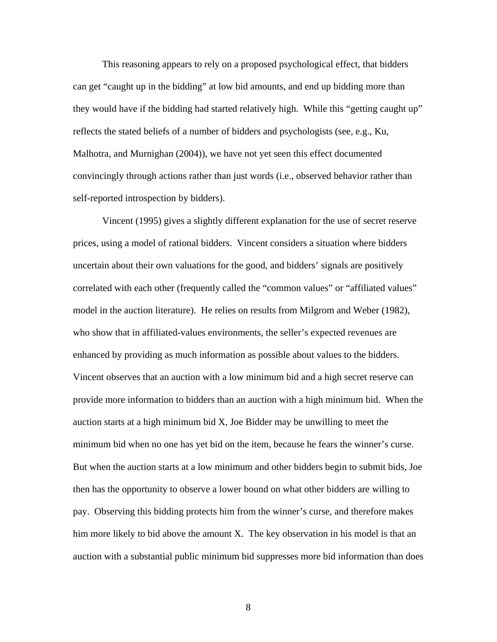This reasoning appears to rely on a proposed psychological effect, that bidders can get "caught up in the bidding" at low bid amounts, and end up bidding more than they would have if the bidding had started relatively high. While this "getting caught up" reflects the stated beliefs of a number of bidders and psychologists (see, e.g., Ku, Malhotra, and Murnighan (2004)), we have not yet seen this effect documented convincingly through actions rather than just words (i.e., observed behavior rather than self-reported introspection by bidders).

Vincent (1995) gives a slightly different explanation for the use of secret reserve prices, using a model of rational bidders. Vincent considers a situation where bidders uncertain about their own valuations for the good, and bidders' signals are positively correlated with each other (frequently called the "common values" or "affiliated values" model in the auction literature). He relies on results from Milgrom and Weber (1982), who show that in affiliated-values environments, the seller's expected revenues are enhanced by providing as much information as possible about values to the bidders. Vincent observes that an auction with a low minimum bid and a high secret reserve can provide more information to bidders than an auction with a high minimum bid. When the auction starts at a high minimum bid X, Joe Bidder may be unwilling to meet the minimum bid when no one has yet bid on the item, because he fears the winner's curse. But when the auction starts at a low minimum and other bidders begin to submit bids, Joe then has the opportunity to observe a lower bound on what other bidders are willing to pay. Observing this bidding protects him from the winner's curse, and therefore makes him more likely to bid above the amount X. The key observation in his model is that an auction with a substantial public minimum bid suppresses more bid information than does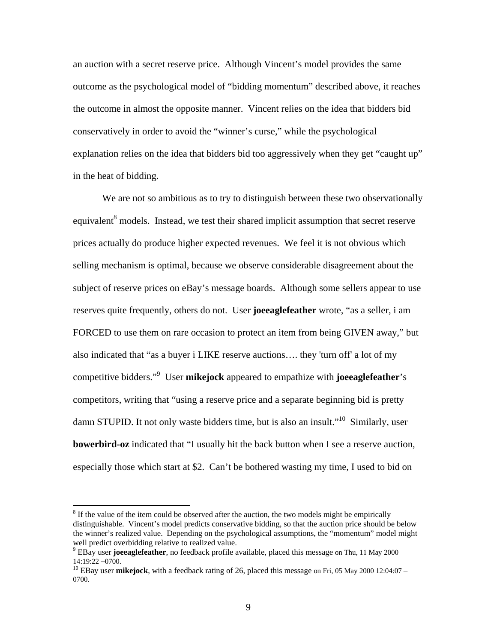an auction with a secret reserve price. Although Vincent's model provides the same outcome as the psychological model of "bidding momentum" described above, it reaches the outcome in almost the opposite manner. Vincent relies on the idea that bidders bid conservatively in order to avoid the "winner's curse," while the psychological explanation relies on the idea that bidders bid too aggressively when they get "caught up" in the heat of bidding.

We are not so ambitious as to try to distinguish between these two observationally equivalent<sup>8</sup> models. Instead, we test their shared implicit assumption that secret reserve prices actually do produce higher expected revenues. We feel it is not obvious which selling mechanism is optimal, because we observe considerable disagreement about the subject of reserve prices on eBay's message boards. Although some sellers appear to use reserves quite frequently, others do not. User **joeeaglefeather** wrote, "as a seller, i am FORCED to use them on rare occasion to protect an item from being GIVEN away," but also indicated that "as a buyer i LIKE reserve auctions…. they 'turn off' a lot of my competitive bidders."9 User **mikejock** appeared to empathize with **joeeaglefeather**'s competitors, writing that "using a reserve price and a separate beginning bid is pretty damn STUPID. It not only waste bidders time, but is also an insult."<sup>10</sup> Similarly, user **bowerbird-oz** indicated that "I usually hit the back button when I see a reserve auction, especially those which start at \$2. Can't be bothered wasting my time, I used to bid on

 $8$  If the value of the item could be observed after the auction, the two models might be empirically distinguishable. Vincent's model predicts conservative bidding, so that the auction price should be below the winner's realized value. Depending on the psychological assumptions, the "momentum" model might well predict overbidding relative to realized value.

<sup>&</sup>lt;sup>9</sup> EBay user **joeeaglefeather**, no feedback profile available, placed this message on Thu, 11 May 2000 14:19:22 –0700.

 $10$  EBay user **mikejock**, with a feedback rating of 26, placed this message on Fri, 05 May 2000 12:04:07 – 0700.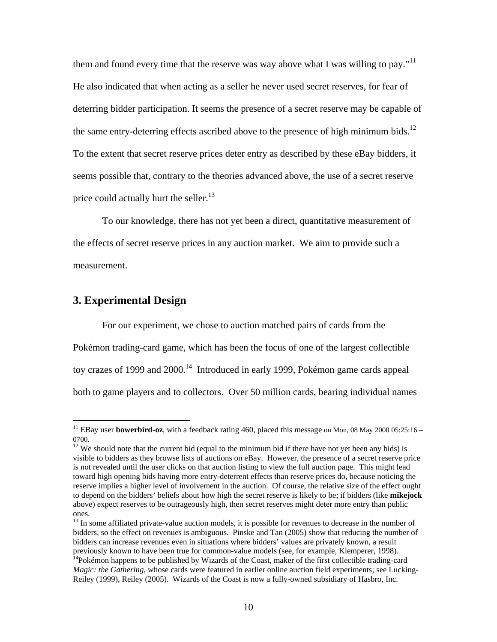them and found every time that the reserve was way above what I was willing to pay."<sup>11</sup> He also indicated that when acting as a seller he never used secret reserves, for fear of deterring bidder participation. It seems the presence of a secret reserve may be capable of the same entry-deterring effects ascribed above to the presence of high minimum bids.<sup>12</sup> To the extent that secret reserve prices deter entry as described by these eBay bidders, it seems possible that, contrary to the theories advanced above, the use of a secret reserve price could actually hurt the seller.<sup>13</sup>

To our knowledge, there has not yet been a direct, quantitative measurement of the effects of secret reserve prices in any auction market. We aim to provide such a measurement.

## **3. Experimental Design**

1

For our experiment, we chose to auction matched pairs of cards from the Pokémon trading-card game, which has been the focus of one of the largest collectible toy crazes of 1999 and 2000.<sup>14</sup> Introduced in early 1999, Pokémon game cards appeal both to game players and to collectors. Over 50 million cards, bearing individual names

<sup>&</sup>lt;sup>11</sup> EBay user **bowerbird-oz**, with a feedback rating 460, placed this message on Mon, 08 May 2000 05:25:16 – 0700.<br><sup>12</sup> We should note that the current bid (equal to the minimum bid if there have not yet been any bids) is

visible to bidders as they browse lists of auctions on eBay. However, the presence of a secret reserve price is not revealed until the user clicks on that auction listing to view the full auction page. This might lead toward high opening bids having more entry-deterrent effects than reserve prices do, because noticing the reserve implies a higher level of involvement in the auction. Of course, the relative size of the effect ought to depend on the bidders' beliefs about how high the secret reserve is likely to be; if bidders (like **mikejock** above) expect reserves to be outrageously high, then secret reserves might deter more entry than public

ones.<br><sup>13</sup> In some affiliated private-value auction models, it is possible for revenues to decrease in the number of bidders, so the effect on revenues is ambiguous. Pinske and Tan (2005) show that reducing the number of bidders can increase revenues even in situations where bidders' values are privately known, a result previously known to have been true for common-value models (see, for example, Klemperer, 1998).<br><sup>14</sup>Pokémon happens to be published by Wizards of the Coast, maker of the first collectible trading-card

*Magic: the Gathering*, whose cards were featured in earlier online auction field experiments; see Lucking-Reiley (1999), Reiley (2005). Wizards of the Coast is now a fully-owned subsidiary of Hasbro, Inc.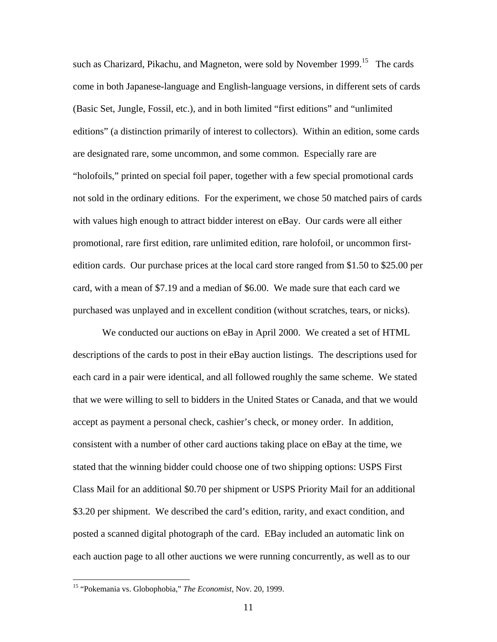such as Charizard, Pikachu, and Magneton, were sold by November 1999.<sup>15</sup> The cards come in both Japanese-language and English-language versions, in different sets of cards (Basic Set, Jungle, Fossil, etc.), and in both limited "first editions" and "unlimited editions" (a distinction primarily of interest to collectors). Within an edition, some cards are designated rare, some uncommon, and some common. Especially rare are "holofoils," printed on special foil paper, together with a few special promotional cards not sold in the ordinary editions. For the experiment, we chose 50 matched pairs of cards with values high enough to attract bidder interest on eBay. Our cards were all either promotional, rare first edition, rare unlimited edition, rare holofoil, or uncommon firstedition cards. Our purchase prices at the local card store ranged from \$1.50 to \$25.00 per card, with a mean of \$7.19 and a median of \$6.00. We made sure that each card we purchased was unplayed and in excellent condition (without scratches, tears, or nicks).

We conducted our auctions on eBay in April 2000. We created a set of HTML descriptions of the cards to post in their eBay auction listings. The descriptions used for each card in a pair were identical, and all followed roughly the same scheme. We stated that we were willing to sell to bidders in the United States or Canada, and that we would accept as payment a personal check, cashier's check, or money order. In addition, consistent with a number of other card auctions taking place on eBay at the time, we stated that the winning bidder could choose one of two shipping options: USPS First Class Mail for an additional \$0.70 per shipment or USPS Priority Mail for an additional \$3.20 per shipment. We described the card's edition, rarity, and exact condition, and posted a scanned digital photograph of the card. EBay included an automatic link on each auction page to all other auctions we were running concurrently, as well as to our

<sup>15 &</sup>quot;Pokemania vs. Globophobia," *The Economist*, Nov. 20, 1999.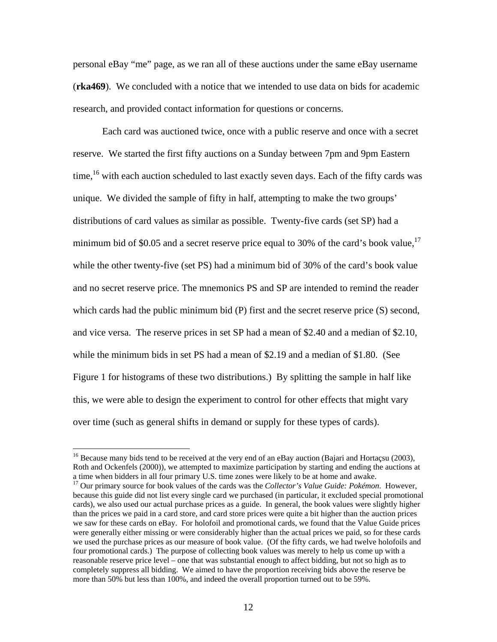personal eBay "me" page, as we ran all of these auctions under the same eBay username (**rka469**). We concluded with a notice that we intended to use data on bids for academic research, and provided contact information for questions or concerns.

Each card was auctioned twice, once with a public reserve and once with a secret reserve. We started the first fifty auctions on a Sunday between 7pm and 9pm Eastern time,<sup>16</sup> with each auction scheduled to last exactly seven days. Each of the fifty cards was unique. We divided the sample of fifty in half, attempting to make the two groups' distributions of card values as similar as possible. Twenty-five cards (set SP) had a minimum bid of \$0.05 and a secret reserve price equal to 30% of the card's book value, $^{17}$ while the other twenty-five (set PS) had a minimum bid of 30% of the card's book value and no secret reserve price. The mnemonics PS and SP are intended to remind the reader which cards had the public minimum bid (P) first and the secret reserve price (S) second, and vice versa. The reserve prices in set SP had a mean of \$2.40 and a median of \$2.10, while the minimum bids in set PS had a mean of \$2.19 and a median of \$1.80. (See Figure 1 for histograms of these two distributions.) By splitting the sample in half like this, we were able to design the experiment to control for other effects that might vary over time (such as general shifts in demand or supply for these types of cards).

 $\overline{a}$ 

because this guide did not list every single card we purchased (in particular, it excluded special promotional cards), we also used our actual purchase prices as a guide. In general, the book values were slightly higher than the prices we paid in a card store, and card store prices were quite a bit higher than the auction prices we saw for these cards on eBay. For holofoil and promotional cards, we found that the Value Guide prices were generally either missing or were considerably higher than the actual prices we paid, so for these cards we used the purchase prices as our measure of book value. (Of the fifty cards, we had twelve holofoils and four promotional cards.) The purpose of collecting book values was merely to help us come up with a reasonable reserve price level – one that was substantial enough to affect bidding, but not so high as to completely suppress all bidding. We aimed to have the proportion receiving bids above the reserve be more than 50% but less than 100%, and indeed the overall proportion turned out to be 59%.

<sup>&</sup>lt;sup>16</sup> Because many bids tend to be received at the very end of an eBay auction (Bajari and Hortaçsu (2003), Roth and Ockenfels (2000)), we attempted to maximize participation by starting and ending the auctions at a time when bidders in all four primary U.S. time zones were likely to be at home and awake. 17 Our primary source for book values of the cards was the *Collector's Value Guide: Pokémon*. However,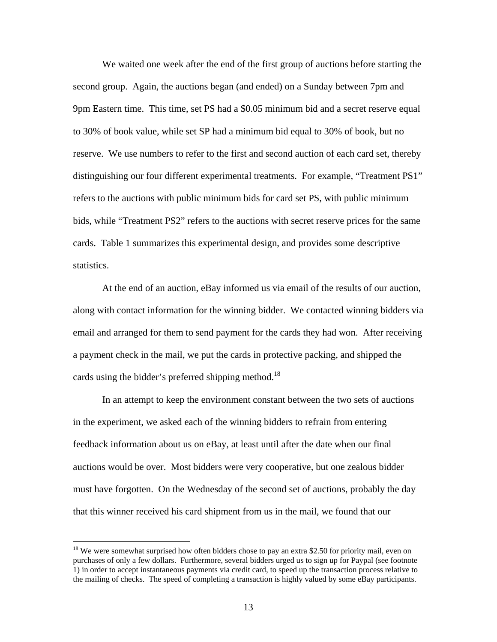We waited one week after the end of the first group of auctions before starting the second group. Again, the auctions began (and ended) on a Sunday between 7pm and 9pm Eastern time. This time, set PS had a \$0.05 minimum bid and a secret reserve equal to 30% of book value, while set SP had a minimum bid equal to 30% of book, but no reserve. We use numbers to refer to the first and second auction of each card set, thereby distinguishing our four different experimental treatments. For example, "Treatment PS1" refers to the auctions with public minimum bids for card set PS, with public minimum bids, while "Treatment PS2" refers to the auctions with secret reserve prices for the same cards. Table 1 summarizes this experimental design, and provides some descriptive statistics.

At the end of an auction, eBay informed us via email of the results of our auction, along with contact information for the winning bidder. We contacted winning bidders via email and arranged for them to send payment for the cards they had won. After receiving a payment check in the mail, we put the cards in protective packing, and shipped the cards using the bidder's preferred shipping method.<sup>18</sup>

In an attempt to keep the environment constant between the two sets of auctions in the experiment, we asked each of the winning bidders to refrain from entering feedback information about us on eBay, at least until after the date when our final auctions would be over. Most bidders were very cooperative, but one zealous bidder must have forgotten. On the Wednesday of the second set of auctions, probably the day that this winner received his card shipment from us in the mail, we found that our

 $\overline{a}$ 

 $18$  We were somewhat surprised how often bidders chose to pay an extra \$2.50 for priority mail, even on purchases of only a few dollars. Furthermore, several bidders urged us to sign up for Paypal (see footnote 1) in order to accept instantaneous payments via credit card, to speed up the transaction process relative to the mailing of checks. The speed of completing a transaction is highly valued by some eBay participants.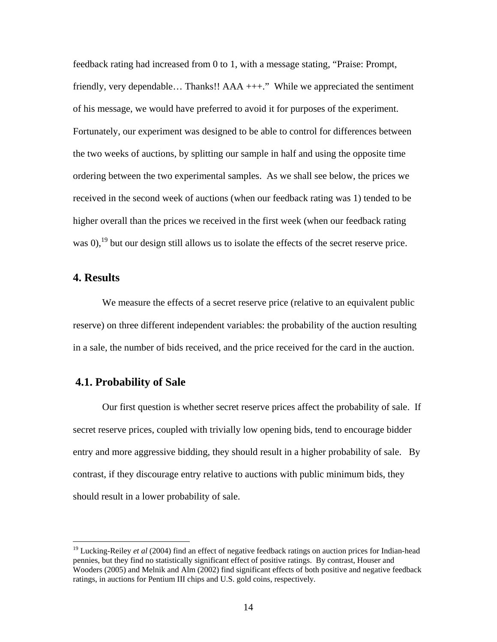feedback rating had increased from 0 to 1, with a message stating, "Praise: Prompt, friendly, very dependable… Thanks!! AAA +++." While we appreciated the sentiment of his message, we would have preferred to avoid it for purposes of the experiment. Fortunately, our experiment was designed to be able to control for differences between the two weeks of auctions, by splitting our sample in half and using the opposite time ordering between the two experimental samples. As we shall see below, the prices we received in the second week of auctions (when our feedback rating was 1) tended to be higher overall than the prices we received in the first week (when our feedback rating was  $(0)$ ,<sup>19</sup> but our design still allows us to isolate the effects of the secret reserve price.

### **4. Results**

 $\overline{a}$ 

We measure the effects of a secret reserve price (relative to an equivalent public reserve) on three different independent variables: the probability of the auction resulting in a sale, the number of bids received, and the price received for the card in the auction.

### **4.1. Probability of Sale**

Our first question is whether secret reserve prices affect the probability of sale. If secret reserve prices, coupled with trivially low opening bids, tend to encourage bidder entry and more aggressive bidding, they should result in a higher probability of sale. By contrast, if they discourage entry relative to auctions with public minimum bids, they should result in a lower probability of sale.

<sup>&</sup>lt;sup>19</sup> Lucking-Reiley *et al* (2004) find an effect of negative feedback ratings on auction prices for Indian-head pennies, but they find no statistically significant effect of positive ratings. By contrast, Houser and Wooders (2005) and Melnik and Alm (2002) find significant effects of both positive and negative feedback ratings, in auctions for Pentium III chips and U.S. gold coins, respectively.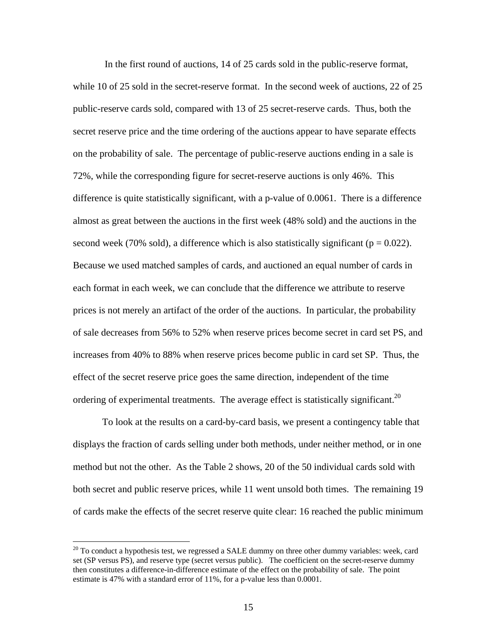In the first round of auctions, 14 of 25 cards sold in the public-reserve format, while 10 of 25 sold in the secret-reserve format. In the second week of auctions, 22 of 25 public-reserve cards sold, compared with 13 of 25 secret-reserve cards. Thus, both the secret reserve price and the time ordering of the auctions appear to have separate effects on the probability of sale. The percentage of public-reserve auctions ending in a sale is 72%, while the corresponding figure for secret-reserve auctions is only 46%. This difference is quite statistically significant, with a p-value of 0.0061. There is a difference almost as great between the auctions in the first week (48% sold) and the auctions in the second week (70% sold), a difference which is also statistically significant ( $p = 0.022$ ). Because we used matched samples of cards, and auctioned an equal number of cards in each format in each week, we can conclude that the difference we attribute to reserve prices is not merely an artifact of the order of the auctions. In particular, the probability of sale decreases from 56% to 52% when reserve prices become secret in card set PS, and increases from 40% to 88% when reserve prices become public in card set SP. Thus, the effect of the secret reserve price goes the same direction, independent of the time ordering of experimental treatments. The average effect is statistically significant.<sup>20</sup>

To look at the results on a card-by-card basis, we present a contingency table that displays the fraction of cards selling under both methods, under neither method, or in one method but not the other. As the Table 2 shows, 20 of the 50 individual cards sold with both secret and public reserve prices, while 11 went unsold both times. The remaining 19 of cards make the effects of the secret reserve quite clear: 16 reached the public minimum

 $\overline{a}$ 

 $20$  To conduct a hypothesis test, we regressed a SALE dummy on three other dummy variables: week, card set (SP versus PS), and reserve type (secret versus public). The coefficient on the secret-reserve dummy then constitutes a difference-in-difference estimate of the effect on the probability of sale. The point estimate is 47% with a standard error of 11%, for a p-value less than 0.0001.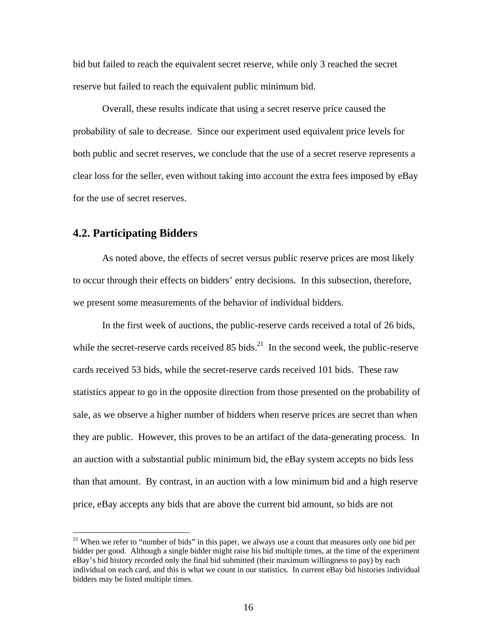bid but failed to reach the equivalent secret reserve, while only 3 reached the secret reserve but failed to reach the equivalent public minimum bid.

Overall, these results indicate that using a secret reserve price caused the probability of sale to decrease. Since our experiment used equivalent price levels for both public and secret reserves, we conclude that the use of a secret reserve represents a clear loss for the seller, even without taking into account the extra fees imposed by eBay for the use of secret reserves.

### **4.2. Participating Bidders**

1

As noted above, the effects of secret versus public reserve prices are most likely to occur through their effects on bidders' entry decisions. In this subsection, therefore, we present some measurements of the behavior of individual bidders.

In the first week of auctions, the public-reserve cards received a total of 26 bids, while the secret-reserve cards received  $85$  bids.<sup>21</sup> In the second week, the public-reserve cards received 53 bids, while the secret-reserve cards received 101 bids. These raw statistics appear to go in the opposite direction from those presented on the probability of sale, as we observe a higher number of bidders when reserve prices are secret than when they are public. However, this proves to be an artifact of the data-generating process. In an auction with a substantial public minimum bid, the eBay system accepts no bids less than that amount. By contrast, in an auction with a low minimum bid and a high reserve price, eBay accepts any bids that are above the current bid amount, so bids are not

<sup>&</sup>lt;sup>21</sup> When we refer to "number of bids" in this paper, we always use a count that measures only one bid per bidder per good. Although a single bidder might raise his bid multiple times, at the time of the experiment eBay's bid history recorded only the final bid submitted (their maximum willingness to pay) by each individual on each card, and this is what we count in our statistics. In current eBay bid histories individual bidders may be listed multiple times.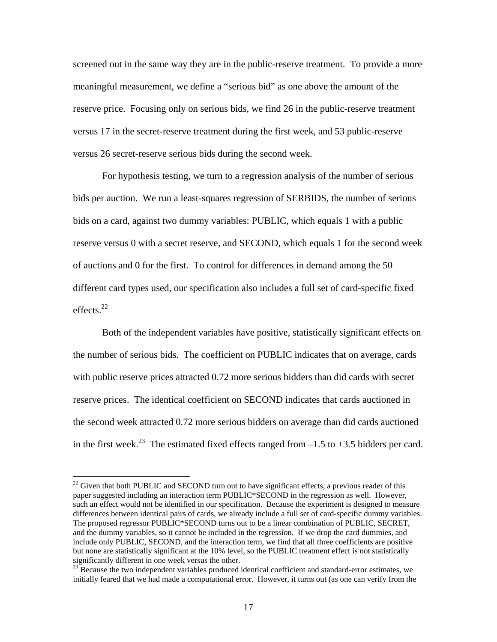screened out in the same way they are in the public-reserve treatment. To provide a more meaningful measurement, we define a "serious bid" as one above the amount of the reserve price. Focusing only on serious bids, we find 26 in the public-reserve treatment versus 17 in the secret-reserve treatment during the first week, and 53 public-reserve versus 26 secret-reserve serious bids during the second week.

For hypothesis testing, we turn to a regression analysis of the number of serious bids per auction. We run a least-squares regression of SERBIDS, the number of serious bids on a card, against two dummy variables: PUBLIC, which equals 1 with a public reserve versus 0 with a secret reserve, and SECOND, which equals 1 for the second week of auctions and 0 for the first. To control for differences in demand among the 50 different card types used, our specification also includes a full set of card-specific fixed effects $^{22}$ 

Both of the independent variables have positive, statistically significant effects on the number of serious bids. The coefficient on PUBLIC indicates that on average, cards with public reserve prices attracted 0.72 more serious bidders than did cards with secret reserve prices. The identical coefficient on SECOND indicates that cards auctioned in the second week attracted 0.72 more serious bidders on average than did cards auctioned in the first week.<sup>23</sup> The estimated fixed effects ranged from  $-1.5$  to  $+3.5$  bidders per card.

 $\overline{a}$ 

<sup>&</sup>lt;sup>22</sup> Given that both PUBLIC and SECOND turn out to have significant effects, a previous reader of this paper suggested including an interaction term PUBLIC\*SECOND in the regression as well. However, such an effect would not be identified in our specification. Because the experiment is designed to measure differences between identical pairs of cards, we already include a full set of card-specific dummy variables. The proposed regressor PUBLIC\*SECOND turns out to be a linear combination of PUBLIC, SECRET, and the dummy variables, so it cannot be included in the regression. If we drop the card dummies, and include only PUBLIC, SECOND, and the interaction term, we find that all three coefficients are positive but none are statistically significant at the 10% level, so the PUBLIC treatment effect is not statistically significantly different in one week versus the other.<br><sup>23</sup> Because the two independent variables produced identical coefficient and standard-error estimates, we

initially feared that we had made a computational error. However, it turns out (as one can verify from the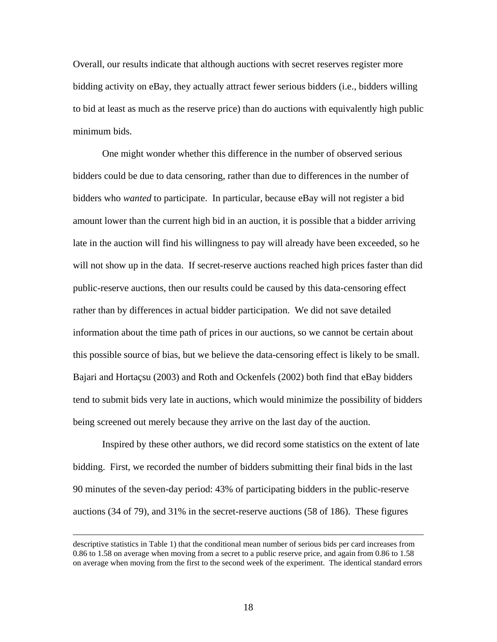Overall, our results indicate that although auctions with secret reserves register more bidding activity on eBay, they actually attract fewer serious bidders (i.e., bidders willing to bid at least as much as the reserve price) than do auctions with equivalently high public minimum bids.

One might wonder whether this difference in the number of observed serious bidders could be due to data censoring, rather than due to differences in the number of bidders who *wanted* to participate. In particular, because eBay will not register a bid amount lower than the current high bid in an auction, it is possible that a bidder arriving late in the auction will find his willingness to pay will already have been exceeded, so he will not show up in the data. If secret-reserve auctions reached high prices faster than did public-reserve auctions, then our results could be caused by this data-censoring effect rather than by differences in actual bidder participation. We did not save detailed information about the time path of prices in our auctions, so we cannot be certain about this possible source of bias, but we believe the data-censoring effect is likely to be small. Bajari and Hortaçsu (2003) and Roth and Ockenfels (2002) both find that eBay bidders tend to submit bids very late in auctions, which would minimize the possibility of bidders being screened out merely because they arrive on the last day of the auction.

Inspired by these other authors, we did record some statistics on the extent of late bidding. First, we recorded the number of bidders submitting their final bids in the last 90 minutes of the seven-day period: 43% of participating bidders in the public-reserve auctions (34 of 79), and 31% in the secret-reserve auctions (58 of 186). These figures

descriptive statistics in Table 1) that the conditional mean number of serious bids per card increases from 0.86 to 1.58 on average when moving from a secret to a public reserve price, and again from 0.86 to 1.58 on average when moving from the first to the second week of the experiment. The identical standard errors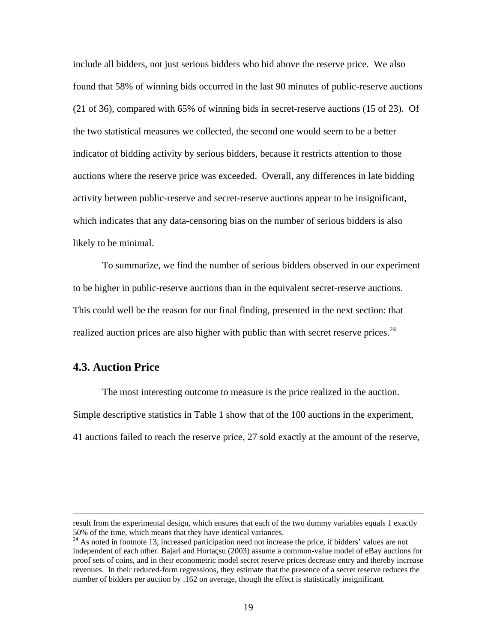include all bidders, not just serious bidders who bid above the reserve price. We also found that 58% of winning bids occurred in the last 90 minutes of public-reserve auctions (21 of 36), compared with 65% of winning bids in secret-reserve auctions (15 of 23). Of the two statistical measures we collected, the second one would seem to be a better indicator of bidding activity by serious bidders, because it restricts attention to those auctions where the reserve price was exceeded. Overall, any differences in late bidding activity between public-reserve and secret-reserve auctions appear to be insignificant, which indicates that any data-censoring bias on the number of serious bidders is also likely to be minimal.

To summarize, we find the number of serious bidders observed in our experiment to be higher in public-reserve auctions than in the equivalent secret-reserve auctions. This could well be the reason for our final finding, presented in the next section: that realized auction prices are also higher with public than with secret reserve prices.  $24$ 

### **4.3. Auction Price**

The most interesting outcome to measure is the price realized in the auction. Simple descriptive statistics in Table 1 show that of the 100 auctions in the experiment, 41 auctions failed to reach the reserve price, 27 sold exactly at the amount of the reserve,

result from the experimental design, which ensures that each of the two dummy variables equals 1 exactly 50% of the time, which means that they have identical variances.<br><sup>24</sup> As noted in footnote 13, increased participation need not increase the price, if bidders' values are not

independent of each other. Bajari and Hortaçsu (2003) assume a common-value model of eBay auctions for proof sets of coins, and in their econometric model secret reserve prices decrease entry and thereby increase revenues. In their reduced-form regressions, they estimate that the presence of a secret reserve reduces the number of bidders per auction by .162 on average, though the effect is statistically insignificant.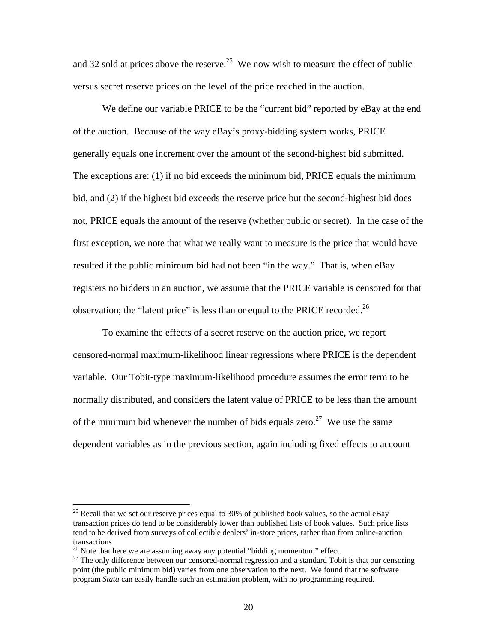and 32 sold at prices above the reserve.<sup>25</sup> We now wish to measure the effect of public versus secret reserve prices on the level of the price reached in the auction.

We define our variable PRICE to be the "current bid" reported by eBay at the end of the auction. Because of the way eBay's proxy-bidding system works, PRICE generally equals one increment over the amount of the second-highest bid submitted. The exceptions are: (1) if no bid exceeds the minimum bid, PRICE equals the minimum bid, and (2) if the highest bid exceeds the reserve price but the second-highest bid does not, PRICE equals the amount of the reserve (whether public or secret). In the case of the first exception, we note that what we really want to measure is the price that would have resulted if the public minimum bid had not been "in the way." That is, when eBay registers no bidders in an auction, we assume that the PRICE variable is censored for that observation; the "latent price" is less than or equal to the PRICE recorded.<sup>26</sup>

To examine the effects of a secret reserve on the auction price, we report censored-normal maximum-likelihood linear regressions where PRICE is the dependent variable. Our Tobit-type maximum-likelihood procedure assumes the error term to be normally distributed, and considers the latent value of PRICE to be less than the amount of the minimum bid whenever the number of bids equals zero.<sup>27</sup> We use the same dependent variables as in the previous section, again including fixed effects to account

<sup>&</sup>lt;sup>25</sup> Recall that we set our reserve prices equal to 30% of published book values, so the actual eBay transaction prices do tend to be considerably lower than published lists of book values. Such price lists tend to be derived from surveys of collectible dealers' in-store prices, rather than from online-auction

transactions<br><sup>26</sup> Note that here we are assuming away any potential "bidding momentum" effect.<br><sup>27</sup> The only difference between our censored-normal regression and a standard Tobit is that our censoring point (the public minimum bid) varies from one observation to the next. We found that the software program *Stata* can easily handle such an estimation problem, with no programming required.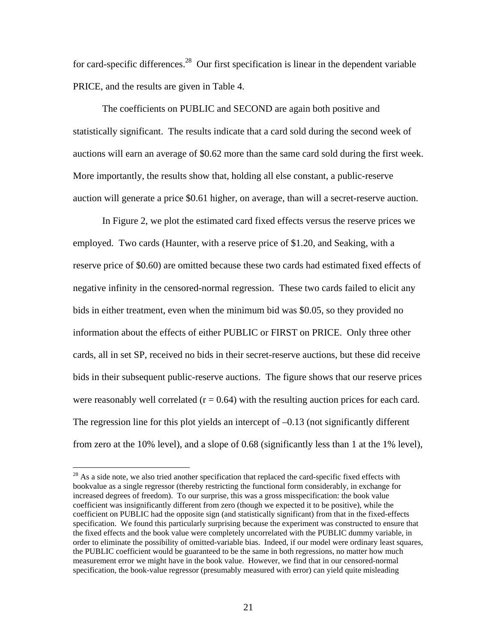for card-specific differences.<sup>28</sup> Our first specification is linear in the dependent variable PRICE, and the results are given in Table 4.

The coefficients on PUBLIC and SECOND are again both positive and statistically significant. The results indicate that a card sold during the second week of auctions will earn an average of \$0.62 more than the same card sold during the first week. More importantly, the results show that, holding all else constant, a public-reserve auction will generate a price \$0.61 higher, on average, than will a secret-reserve auction.

In Figure 2, we plot the estimated card fixed effects versus the reserve prices we employed. Two cards (Haunter, with a reserve price of \$1.20, and Seaking, with a reserve price of \$0.60) are omitted because these two cards had estimated fixed effects of negative infinity in the censored-normal regression. These two cards failed to elicit any bids in either treatment, even when the minimum bid was \$0.05, so they provided no information about the effects of either PUBLIC or FIRST on PRICE. Only three other cards, all in set SP, received no bids in their secret-reserve auctions, but these did receive bids in their subsequent public-reserve auctions. The figure shows that our reserve prices were reasonably well correlated  $(r = 0.64)$  with the resulting auction prices for each card. The regression line for this plot yields an intercept of –0.13 (not significantly different from zero at the 10% level), and a slope of 0.68 (significantly less than 1 at the 1% level),

 $28$  As a side note, we also tried another specification that replaced the card-specific fixed effects with bookvalue as a single regressor (thereby restricting the functional form considerably, in exchange for increased degrees of freedom). To our surprise, this was a gross misspecification: the book value coefficient was insignificantly different from zero (though we expected it to be positive), while the coefficient on PUBLIC had the opposite sign (and statistically significant) from that in the fixed-effects specification. We found this particularly surprising because the experiment was constructed to ensure that the fixed effects and the book value were completely uncorrelated with the PUBLIC dummy variable, in order to eliminate the possibility of omitted-variable bias. Indeed, if our model were ordinary least squares, the PUBLIC coefficient would be guaranteed to be the same in both regressions, no matter how much measurement error we might have in the book value. However, we find that in our censored-normal specification, the book-value regressor (presumably measured with error) can yield quite misleading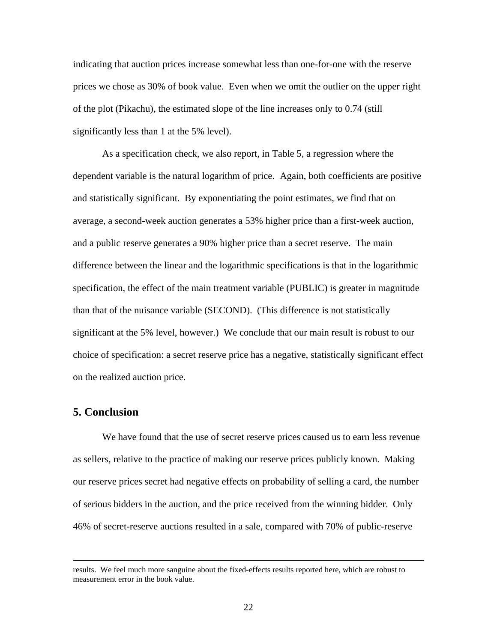indicating that auction prices increase somewhat less than one-for-one with the reserve prices we chose as 30% of book value. Even when we omit the outlier on the upper right of the plot (Pikachu), the estimated slope of the line increases only to 0.74 (still significantly less than 1 at the 5% level).

As a specification check, we also report, in Table 5, a regression where the dependent variable is the natural logarithm of price. Again, both coefficients are positive and statistically significant. By exponentiating the point estimates, we find that on average, a second-week auction generates a 53% higher price than a first-week auction, and a public reserve generates a 90% higher price than a secret reserve. The main difference between the linear and the logarithmic specifications is that in the logarithmic specification, the effect of the main treatment variable (PUBLIC) is greater in magnitude than that of the nuisance variable (SECOND). (This difference is not statistically significant at the 5% level, however.) We conclude that our main result is robust to our choice of specification: a secret reserve price has a negative, statistically significant effect on the realized auction price.

### **5. Conclusion**

We have found that the use of secret reserve prices caused us to earn less revenue as sellers, relative to the practice of making our reserve prices publicly known. Making our reserve prices secret had negative effects on probability of selling a card, the number of serious bidders in the auction, and the price received from the winning bidder. Only 46% of secret-reserve auctions resulted in a sale, compared with 70% of public-reserve

results. We feel much more sanguine about the fixed-effects results reported here, which are robust to measurement error in the book value.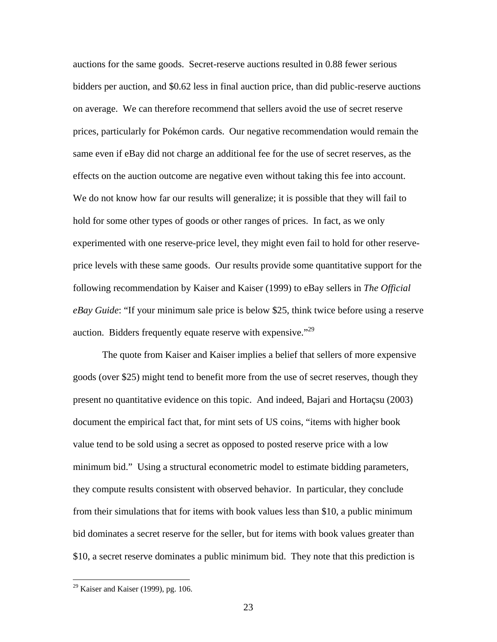auctions for the same goods. Secret-reserve auctions resulted in 0.88 fewer serious bidders per auction, and \$0.62 less in final auction price, than did public-reserve auctions on average. We can therefore recommend that sellers avoid the use of secret reserve prices, particularly for Pokémon cards. Our negative recommendation would remain the same even if eBay did not charge an additional fee for the use of secret reserves, as the effects on the auction outcome are negative even without taking this fee into account. We do not know how far our results will generalize; it is possible that they will fail to hold for some other types of goods or other ranges of prices. In fact, as we only experimented with one reserve-price level, they might even fail to hold for other reserveprice levels with these same goods. Our results provide some quantitative support for the following recommendation by Kaiser and Kaiser (1999) to eBay sellers in *The Official eBay Guide*: "If your minimum sale price is below \$25, think twice before using a reserve auction. Bidders frequently equate reserve with expensive."<sup>29</sup>

The quote from Kaiser and Kaiser implies a belief that sellers of more expensive goods (over \$25) might tend to benefit more from the use of secret reserves, though they present no quantitative evidence on this topic. And indeed, Bajari and Hortaçsu (2003) document the empirical fact that, for mint sets of US coins, "items with higher book value tend to be sold using a secret as opposed to posted reserve price with a low minimum bid." Using a structural econometric model to estimate bidding parameters, they compute results consistent with observed behavior. In particular, they conclude from their simulations that for items with book values less than \$10, a public minimum bid dominates a secret reserve for the seller, but for items with book values greater than \$10, a secret reserve dominates a public minimum bid. They note that this prediction is

 $29$  Kaiser and Kaiser (1999), pg. 106.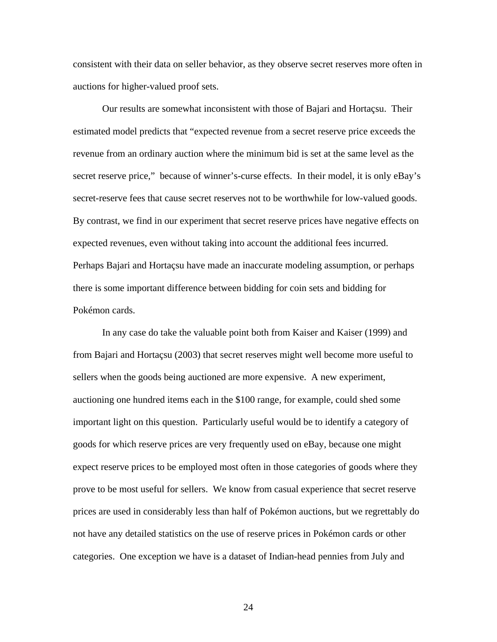consistent with their data on seller behavior, as they observe secret reserves more often in auctions for higher-valued proof sets.

Our results are somewhat inconsistent with those of Bajari and Hortaçsu. Their estimated model predicts that "expected revenue from a secret reserve price exceeds the revenue from an ordinary auction where the minimum bid is set at the same level as the secret reserve price," because of winner's-curse effects. In their model, it is only eBay's secret-reserve fees that cause secret reserves not to be worthwhile for low-valued goods. By contrast, we find in our experiment that secret reserve prices have negative effects on expected revenues, even without taking into account the additional fees incurred. Perhaps Bajari and Hortaçsu have made an inaccurate modeling assumption, or perhaps there is some important difference between bidding for coin sets and bidding for Pokémon cards.

In any case do take the valuable point both from Kaiser and Kaiser (1999) and from Bajari and Hortaçsu (2003) that secret reserves might well become more useful to sellers when the goods being auctioned are more expensive. A new experiment, auctioning one hundred items each in the \$100 range, for example, could shed some important light on this question. Particularly useful would be to identify a category of goods for which reserve prices are very frequently used on eBay, because one might expect reserve prices to be employed most often in those categories of goods where they prove to be most useful for sellers. We know from casual experience that secret reserve prices are used in considerably less than half of Pokémon auctions, but we regrettably do not have any detailed statistics on the use of reserve prices in Pokémon cards or other categories. One exception we have is a dataset of Indian-head pennies from July and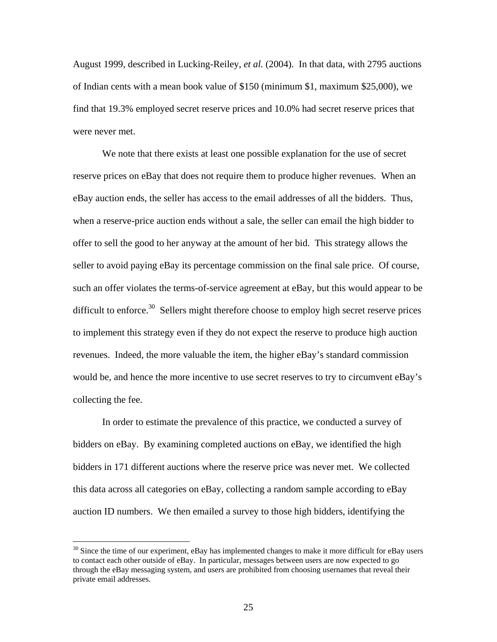August 1999, described in Lucking-Reiley, *et al.* (2004). In that data, with 2795 auctions of Indian cents with a mean book value of \$150 (minimum \$1, maximum \$25,000), we find that 19.3% employed secret reserve prices and 10.0% had secret reserve prices that were never met.

We note that there exists at least one possible explanation for the use of secret reserve prices on eBay that does not require them to produce higher revenues. When an eBay auction ends, the seller has access to the email addresses of all the bidders. Thus, when a reserve-price auction ends without a sale, the seller can email the high bidder to offer to sell the good to her anyway at the amount of her bid. This strategy allows the seller to avoid paying eBay its percentage commission on the final sale price. Of course, such an offer violates the terms-of-service agreement at eBay, but this would appear to be difficult to enforce. $30$  Sellers might therefore choose to employ high secret reserve prices to implement this strategy even if they do not expect the reserve to produce high auction revenues. Indeed, the more valuable the item, the higher eBay's standard commission would be, and hence the more incentive to use secret reserves to try to circumvent eBay's collecting the fee.

In order to estimate the prevalence of this practice, we conducted a survey of bidders on eBay. By examining completed auctions on eBay, we identified the high bidders in 171 different auctions where the reserve price was never met. We collected this data across all categories on eBay, collecting a random sample according to eBay auction ID numbers. We then emailed a survey to those high bidders, identifying the

 $\overline{a}$ 

 $30$  Since the time of our experiment, eBay has implemented changes to make it more difficult for eBay users to contact each other outside of eBay. In particular, messages between users are now expected to go through the eBay messaging system, and users are prohibited from choosing usernames that reveal their private email addresses.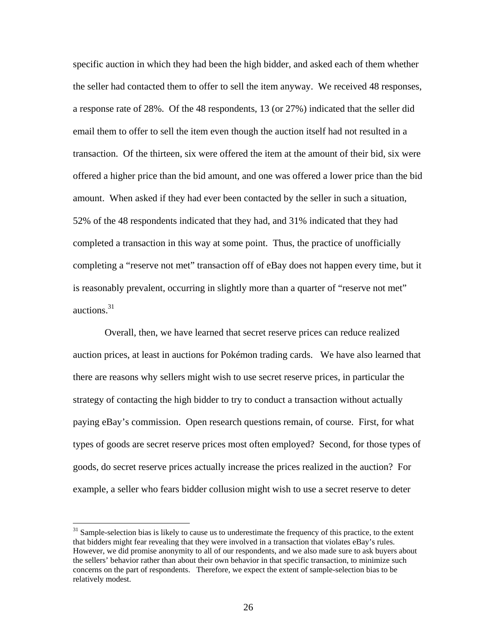specific auction in which they had been the high bidder, and asked each of them whether the seller had contacted them to offer to sell the item anyway. We received 48 responses, a response rate of 28%. Of the 48 respondents, 13 (or 27%) indicated that the seller did email them to offer to sell the item even though the auction itself had not resulted in a transaction. Of the thirteen, six were offered the item at the amount of their bid, six were offered a higher price than the bid amount, and one was offered a lower price than the bid amount. When asked if they had ever been contacted by the seller in such a situation, 52% of the 48 respondents indicated that they had, and 31% indicated that they had completed a transaction in this way at some point. Thus, the practice of unofficially completing a "reserve not met" transaction off of eBay does not happen every time, but it is reasonably prevalent, occurring in slightly more than a quarter of "reserve not met" auctions. 31

 Overall, then, we have learned that secret reserve prices can reduce realized auction prices, at least in auctions for Pokémon trading cards. We have also learned that there are reasons why sellers might wish to use secret reserve prices, in particular the strategy of contacting the high bidder to try to conduct a transaction without actually paying eBay's commission. Open research questions remain, of course. First, for what types of goods are secret reserve prices most often employed? Second, for those types of goods, do secret reserve prices actually increase the prices realized in the auction? For example, a seller who fears bidder collusion might wish to use a secret reserve to deter

 $\overline{a}$ 

<sup>&</sup>lt;sup>31</sup> Sample-selection bias is likely to cause us to underestimate the frequency of this practice, to the extent that bidders might fear revealing that they were involved in a transaction that violates eBay's rules. However, we did promise anonymity to all of our respondents, and we also made sure to ask buyers about the sellers' behavior rather than about their own behavior in that specific transaction, to minimize such concerns on the part of respondents. Therefore, we expect the extent of sample-selection bias to be relatively modest.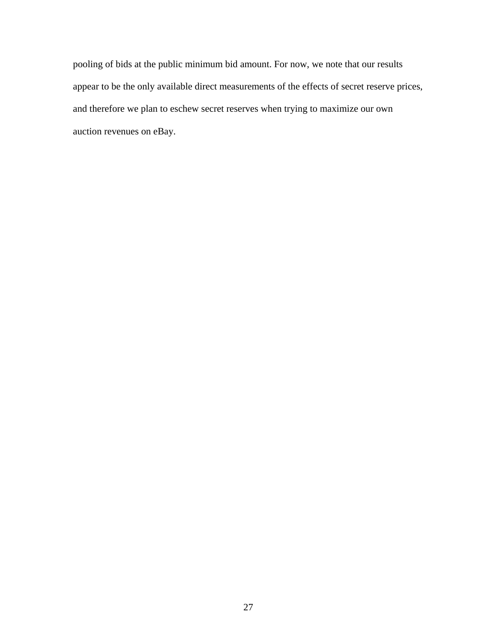pooling of bids at the public minimum bid amount. For now, we note that our results appear to be the only available direct measurements of the effects of secret reserve prices, and therefore we plan to eschew secret reserves when trying to maximize our own auction revenues on eBay.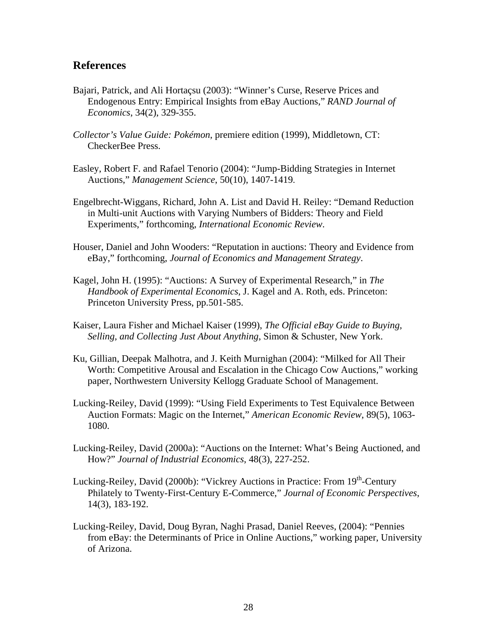### **References**

- Bajari, Patrick, and Ali Hortaçsu (2003): "Winner's Curse, Reserve Prices and Endogenous Entry: Empirical Insights from eBay Auctions," *RAND Journal of Economics*, 34(2), 329-355.
- *Collector's Value Guide: Pokémon*, premiere edition (1999), Middletown, CT: CheckerBee Press.
- Easley, Robert F. and Rafael Tenorio (2004): "Jump-Bidding Strategies in Internet Auctions," *Management Science*, 50(10), 1407-1419.
- Engelbrecht-Wiggans, Richard, John A. List and David H. Reiley: "Demand Reduction in Multi-unit Auctions with Varying Numbers of Bidders: Theory and Field Experiments," forthcoming, *International Economic Review*.
- Houser, Daniel and John Wooders: "Reputation in auctions: Theory and Evidence from eBay," forthcoming, *Journal of Economics and Management Strategy*.
- Kagel, John H. (1995): "Auctions: A Survey of Experimental Research," in *The Handbook of Experimental Economics*, J. Kagel and A. Roth, eds. Princeton: Princeton University Press, pp.501-585.
- Kaiser, Laura Fisher and Michael Kaiser (1999), *The Official eBay Guide to Buying, Selling, and Collecting Just About Anything*, Simon & Schuster, New York.
- Ku, Gillian, Deepak Malhotra, and J. Keith Murnighan (2004): "Milked for All Their Worth: Competitive Arousal and Escalation in the Chicago Cow Auctions," working paper, Northwestern University Kellogg Graduate School of Management.
- Lucking-Reiley, David (1999): "Using Field Experiments to Test Equivalence Between Auction Formats: Magic on the Internet," *American Economic Review*, 89(5), 1063- 1080.
- Lucking-Reiley, David (2000a): "Auctions on the Internet: What's Being Auctioned, and How?" *Journal of Industrial Economics*, 48(3), 227-252.
- Lucking-Reiley, David (2000b): "Vickrey Auctions in Practice: From 19<sup>th</sup>-Century Philately to Twenty-First-Century E-Commerce," *Journal of Economic Perspectives*, 14(3), 183-192.
- Lucking-Reiley, David, Doug Byran, Naghi Prasad, Daniel Reeves, (2004): "Pennies from eBay: the Determinants of Price in Online Auctions," working paper, University of Arizona.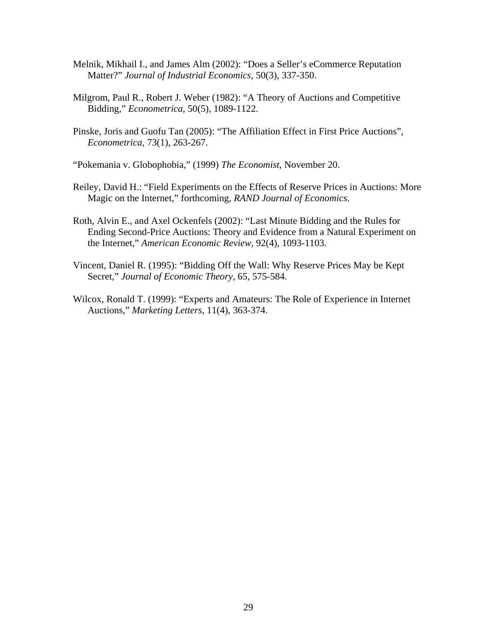- Melnik, Mikhail I., and James Alm (2002): "Does a Seller's eCommerce Reputation Matter?" *Journal of Industrial Economics,* 50(3), 337-350.
- Milgrom, Paul R., Robert J. Weber (1982): "A Theory of Auctions and Competitive Bidding," *Econometrica*, 50(5), 1089-1122.
- Pinske, Joris and Guofu Tan (2005): "The Affiliation Effect in First Price Auctions", *Econometrica*, 73(1), 263-267.

"Pokemania v. Globophobia," (1999) *The Economist*, November 20.

- Reiley, David H.: "Field Experiments on the Effects of Reserve Prices in Auctions: More Magic on the Internet," forthcoming, *RAND Journal of Economics*.
- Roth, Alvin E., and Axel Ockenfels (2002): "Last Minute Bidding and the Rules for Ending Second-Price Auctions: Theory and Evidence from a Natural Experiment on the Internet," *American Economic Review*, 92(4), 1093-1103.
- Vincent, Daniel R. (1995): "Bidding Off the Wall: Why Reserve Prices May be Kept Secret," *Journal of Economic Theory*, 65, 575-584.
- Wilcox, Ronald T. (1999): "Experts and Amateurs: The Role of Experience in Internet Auctions," *Marketing Letters*, 11(4), 363-374.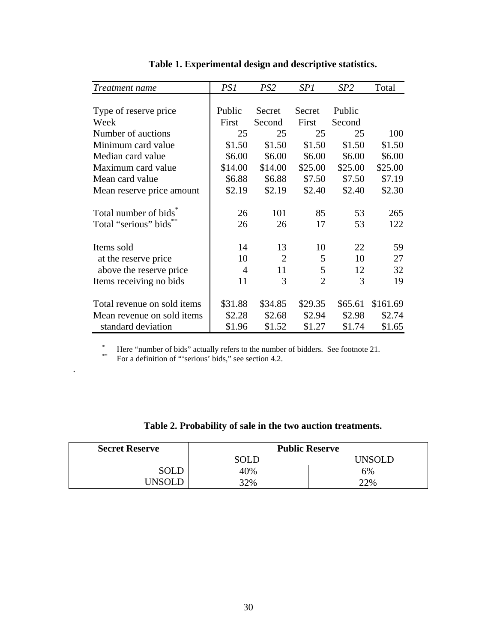| <i>Treatment name</i>                           | PS1     | PS2            | SP1            | SP2     | Total    |
|-------------------------------------------------|---------|----------------|----------------|---------|----------|
|                                                 |         |                |                |         |          |
| Type of reserve price                           | Public  | Secret         | Secret         | Public  |          |
| Week                                            | First   | Second         | First          | Second  |          |
| Number of auctions                              | 25      | 25             | 25             | 25      | 100      |
| Minimum card value                              | \$1.50  | \$1.50         | \$1.50         | \$1.50  | \$1.50   |
| Median card value                               | \$6.00  | \$6.00         | \$6.00         | \$6.00  | \$6.00   |
| Maximum card value                              | \$14.00 | \$14.00        | \$25.00        | \$25.00 | \$25.00  |
| Mean card value                                 | \$6.88  | \$6.88         | \$7.50         | \$7.50  | \$7.19   |
| Mean reserve price amount                       | \$2.19  | \$2.19         | \$2.40         | \$2.40  | \$2.30   |
|                                                 |         |                |                |         |          |
| Total number of bids <sup>7</sup>               | 26      | 101            | 85             | 53      | 265      |
| Total "serious" bids                            | 26      | 26             | 17             | 53      | 122      |
| Items sold                                      | 14      | 13             | 10             | 22      | 59       |
|                                                 | 10      | $\overline{2}$ | 5              | 10      | 27       |
| at the reserve price<br>above the reserve price | 4       | 11             | 5              | 12      | 32       |
|                                                 | 11      | 3              | $\overline{2}$ | 3       | 19       |
| Items receiving no bids                         |         |                |                |         |          |
| Total revenue on sold items                     | \$31.88 | \$34.85        | \$29.35        | \$65.61 | \$161.69 |
| Mean revenue on sold items                      | \$2.28  | \$2.68         | \$2.94         | \$2.98  | \$2.74   |
| standard deviation                              | \$1.96  | \$1.52         | \$1.27         | \$1.74  | \$1.65   |

**Table 1. Experimental design and descriptive statistics.** 

\* Here "number of bids" actually refers to the number of bidders. See footnote 21.<br>For a definition of "'serious' bids," see section 4.2.

.

| <b>Secret Reserve</b> | <b>Public Reserve</b> |           |  |  |
|-----------------------|-----------------------|-----------|--|--|
|                       | SOLD                  | ח ומצמו ו |  |  |
| <b>SOLD</b>           | 40%                   | 6%        |  |  |
| I INSOL D             | 32%                   | 22%       |  |  |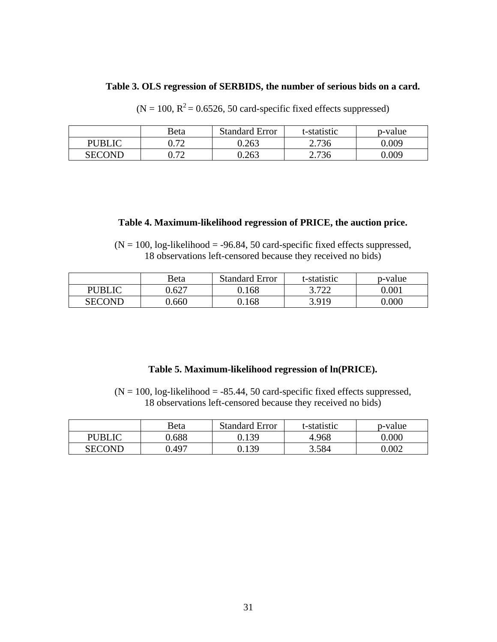### **Table 3. OLS regression of SERBIDS, the number of serious bids on a card.**

| $(N = 100, R^2 = 0.6526, 50$ card-specific fixed effects suppressed) |  |  |
|----------------------------------------------------------------------|--|--|
|                                                                      |  |  |
|                                                                      |  |  |

|               | Beta | <b>Standard Error</b> | t-statistic | p-value |
|---------------|------|-----------------------|-------------|---------|
| PUBLIC        | ר ה  | 0.263                 | 2.736       | 0.009   |
| <b>SECOND</b> | ∩ רי | 0.263                 | 2.736       | 0.009   |

### **Table 4. Maximum-likelihood regression of PRICE, the auction price.**

 $(N = 100, \text{log-likelihood} = -96.84, 50 \text{ card-specific fixed effects suppressed},$ 18 observations left-censored because they received no bids)

|               | Beta  | <b>Standard Error</b> | t-statistic | p-value |
|---------------|-------|-----------------------|-------------|---------|
| <b>PUBLIC</b> | 0.627 | 0.168                 | 3.722       | 0.001   |
| <b>SECOND</b> | ).660 | 0.168                 | 3.919       | 0.000   |

### **Table 5. Maximum-likelihood regression of ln(PRICE).**

 $(N = 100, \text{log-likelihood} = -85.44, 50 \text{ card-specific fixed effects suppressed},$ 18 observations left-censored because they received no bids)

|               | Beta  | <b>Standard Error</b> | t-statistic | p-value   |
|---------------|-------|-----------------------|-------------|-----------|
| <b>PUBLIC</b> | 1.688 | 0.139                 | 4.968       | $0.000\,$ |
| SECOND        | J.497 | 0.139                 | 3.584       | 0.002     |